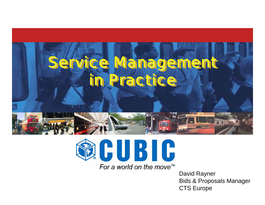



For a world on the move<sup> $m$ </sup>

David Rayner Bids & Proposals Manager CTS Europe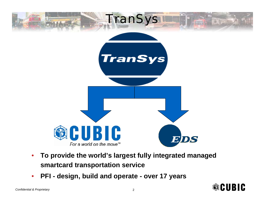

- • **To provide the world's largest fully integrated managed smartcard transportation service**
- •**PFI - design, build and operate - over 17 years**

**®CUBIC**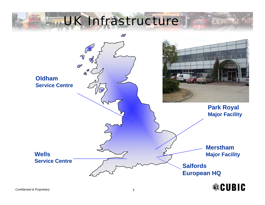## UK Infrastructure

**BILDING** 

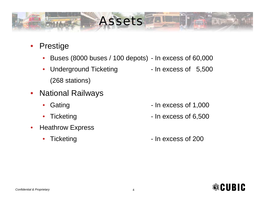## Assets

- Prestige
	- •Buses (8000 buses / 100 depots) - In excess of 60,000
	- Underground Ticketing In excess of 5,500 (268 stations)
- National Railways
	- $\bullet$
	- •
- • Heathrow Express
	- $\bullet$

- Gating **Cating Community** In excess of 1,000
- Ticketing Ticketing  **In excess of 6,500**
- Ticketing **The Strucketing Contract Contract Contract Contract Contract Contract Contract Contract Contract Contract Contract Contract Contract Contract Contract Contract Contract Contract Contract Contract Contract Contra**



**FILITIES**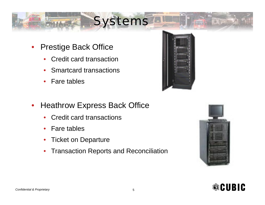## **Systems**

- • Prestige Back Office
	- •Credit card transaction
	- •Smartcard transactions
	- •Fare tables



- $\bullet$  Heathrow Express Back Office
	- •• Credit card transactions
	- •Fare tables
	- •Ticket on Departure
	- $\bullet$ Transaction Reports and Reconciliation



**ETATTEN** 

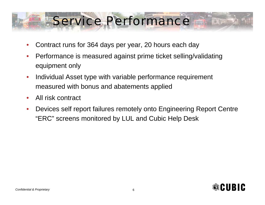## Service Performance

- •Contract runs for 364 days per year, 20 hours each day
- $\bullet$  Performance is measured against prime ticket selling/validating equipment only
- $\bullet$  Individual Asset type with variable performance requirement measured with bonus and abatements applied
- •All risk contract
- • Devices self report failures remotely onto Engineering Report Centre "ERC" screens monitored by LUL and Cubic Help Desk

FILITTE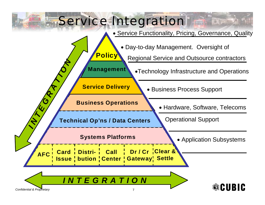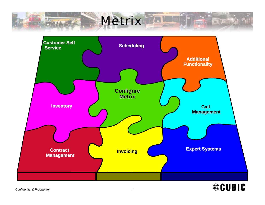## **Metrix**

**DURING** 

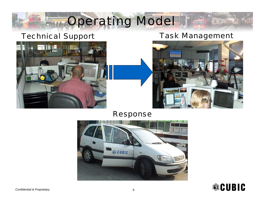## Operating Model

### Technical Support Task Management

**Elpres** 





#### Response



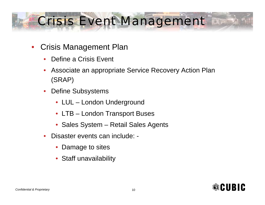## Crisis Event Management During

- • Crisis Management Plan
	- •Define a Crisis Event
	- • Associate an appropriate Service Recovery Action Plan (SRAP)
	- $\bullet$  Define Subsystems
		- LUL London Underground
		- LTB London Transport Buses
		- Sales System Retail Sales Agents
	- • Disaster events can include: -
		- Damage to sites
		- Staff unavailability

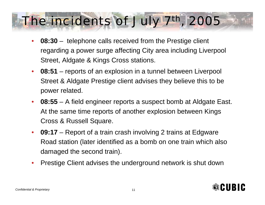## The incidents of July 7th, 2005

- $\bullet$  **08:30** – telephone calls received from the Prestige client regarding a power surge affecting City area including Liverpool Street, Aldgate & Kings Cross stations.
- $\bullet$  **08:51** – reports of an explosion in a tunnel between Liverpool Street & Aldgate Prestige client advises they believe this to be power related.
- $\bullet$  **08:55** – A field engineer reports a suspect bomb at Aldgate East. At the same time reports of another explosion between Kings Cross & Russell Square.
- $\bullet$  **09:17** – Report of a train crash involving 2 trains at Edgware Road station (later identified as a bomb on one train which also damaged the second train).
- $\bullet$ Prestige Client advises the underground network is shut down

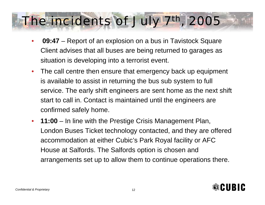## The incidents of July 7th, 2005

- $\bullet$  **09:47** – Report of an explosion on a bus in Tavistock Square Client advises that all buses are being returned to garages as situation is developing into a terrorist event.
- $\bullet$  The call centre then ensure that emergency back up equipment is available to assist in returning the bus sub system to full service. The early shift engineers are sent home as the next shift start to call in. Contact is maintained until the engineers are confirmed safely home.
- $\bullet$  **11:00** – In line with the Prestige Crisis Management Plan, London Buses Ticket technology contacted, and they are offered accommodation at either Cubic's Park Royal facility or AFC House at Salfords. The Salfords option is chosen and arrangements set up to allow them to continue operations there.

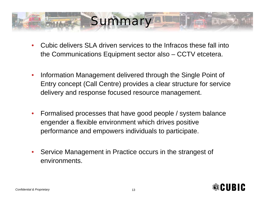## **Summary**

- • Cubic delivers SLA driven services to the Infracos these fall into the Communications Equipment sector also – CCTV etcetera.
- $\bullet$  Information Management delivered through the Single Point of Entry concept (Call Centre) provides a clear structure for service delivery and response focused resource management.
- $\bullet$  Formalised processes that have good people / system balance engender a flexible environment which drives positive performance and empowers individuals to participate.
- • Service Management in Practice occurs in the strangest of environments.